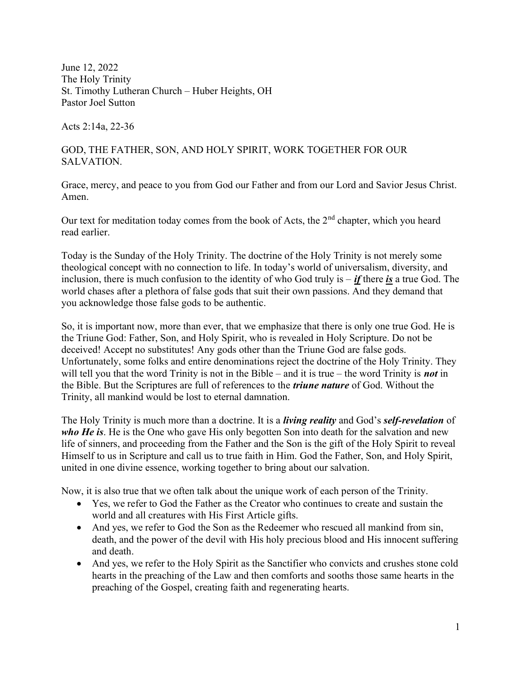June 12, 2022 The Holy Trinity St. Timothy Lutheran Church – Huber Heights, OH Pastor Joel Sutton

Acts 2:14a, 22-36

## GOD, THE FATHER, SON, AND HOLY SPIRIT, WORK TOGETHER FOR OUR SALVATION.

Grace, mercy, and peace to you from God our Father and from our Lord and Savior Jesus Christ. Amen.

Our text for meditation today comes from the book of Acts, the 2<sup>nd</sup> chapter, which you heard read earlier.

Today is the Sunday of the Holy Trinity. The doctrine of the Holy Trinity is not merely some theological concept with no connection to life. In today's world of universalism, diversity, and inclusion, there is much confusion to the identity of who God truly is – *if* there *is* a true God. The world chases after a plethora of false gods that suit their own passions. And they demand that you acknowledge those false gods to be authentic.

So, it is important now, more than ever, that we emphasize that there is only one true God. He is the Triune God: Father, Son, and Holy Spirit, who is revealed in Holy Scripture. Do not be deceived! Accept no substitutes! Any gods other than the Triune God are false gods. Unfortunately, some folks and entire denominations reject the doctrine of the Holy Trinity. They will tell you that the word Trinity is not in the Bible – and it is true – the word Trinity is **not** in the Bible. But the Scriptures are full of references to the *triune nature* of God. Without the Trinity, all mankind would be lost to eternal damnation.

The Holy Trinity is much more than a doctrine. It is a *living reality* and God's self-revelation of who He is. He is the One who gave His only begotten Son into death for the salvation and new life of sinners, and proceeding from the Father and the Son is the gift of the Holy Spirit to reveal Himself to us in Scripture and call us to true faith in Him. God the Father, Son, and Holy Spirit, united in one divine essence, working together to bring about our salvation.

Now, it is also true that we often talk about the unique work of each person of the Trinity.

- Yes, we refer to God the Father as the Creator who continues to create and sustain the world and all creatures with His First Article gifts.
- And yes, we refer to God the Son as the Redeemer who rescued all mankind from sin, death, and the power of the devil with His holy precious blood and His innocent suffering and death.
- And yes, we refer to the Holy Spirit as the Sanctifier who convicts and crushes stone cold hearts in the preaching of the Law and then comforts and sooths those same hearts in the preaching of the Gospel, creating faith and regenerating hearts.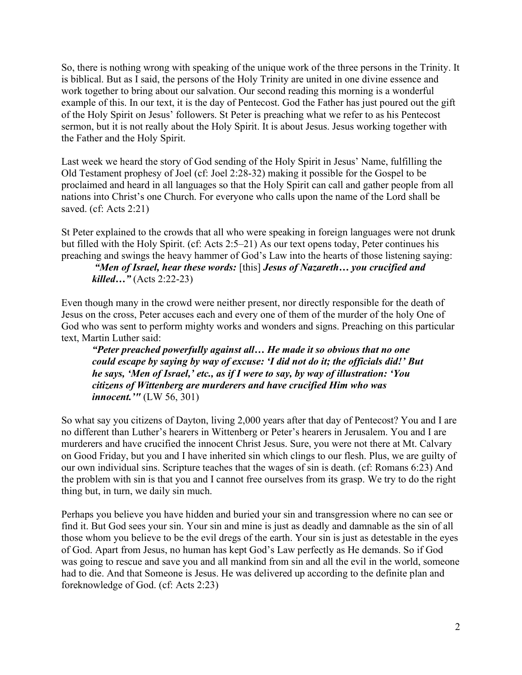So, there is nothing wrong with speaking of the unique work of the three persons in the Trinity. It is biblical. But as I said, the persons of the Holy Trinity are united in one divine essence and work together to bring about our salvation. Our second reading this morning is a wonderful example of this. In our text, it is the day of Pentecost. God the Father has just poured out the gift of the Holy Spirit on Jesus' followers. St Peter is preaching what we refer to as his Pentecost sermon, but it is not really about the Holy Spirit. It is about Jesus. Jesus working together with the Father and the Holy Spirit.

Last week we heard the story of God sending of the Holy Spirit in Jesus' Name, fulfilling the Old Testament prophesy of Joel (cf: Joel 2:28-32) making it possible for the Gospel to be proclaimed and heard in all languages so that the Holy Spirit can call and gather people from all nations into Christ's one Church. For everyone who calls upon the name of the Lord shall be saved. (cf: Acts 2:21)

St Peter explained to the crowds that all who were speaking in foreign languages were not drunk but filled with the Holy Spirit. (cf: Acts 2:5–21) As our text opens today, Peter continues his preaching and swings the heavy hammer of God's Law into the hearts of those listening saying:

 "Men of Israel, hear these words: [this] Jesus of Nazareth… you crucified and killed…" (Acts 2:22-23)

Even though many in the crowd were neither present, nor directly responsible for the death of Jesus on the cross, Peter accuses each and every one of them of the murder of the holy One of God who was sent to perform mighty works and wonders and signs. Preaching on this particular text, Martin Luther said:

"Peter preached powerfully against all… He made it so obvious that no one could escape by saying by way of excuse: 'I did not do it; the officials did!' But he says, 'Men of Israel,' etc., as if I were to say, by way of illustration: 'You citizens of Wittenberg are murderers and have crucified Him who was *innocent.*''' (LW 56, 301)

So what say you citizens of Dayton, living 2,000 years after that day of Pentecost? You and I are no different than Luther's hearers in Wittenberg or Peter's hearers in Jerusalem. You and I are murderers and have crucified the innocent Christ Jesus. Sure, you were not there at Mt. Calvary on Good Friday, but you and I have inherited sin which clings to our flesh. Plus, we are guilty of our own individual sins. Scripture teaches that the wages of sin is death. (cf: Romans 6:23) And the problem with sin is that you and I cannot free ourselves from its grasp. We try to do the right thing but, in turn, we daily sin much.

Perhaps you believe you have hidden and buried your sin and transgression where no can see or find it. But God sees your sin. Your sin and mine is just as deadly and damnable as the sin of all those whom you believe to be the evil dregs of the earth. Your sin is just as detestable in the eyes of God. Apart from Jesus, no human has kept God's Law perfectly as He demands. So if God was going to rescue and save you and all mankind from sin and all the evil in the world, someone had to die. And that Someone is Jesus. He was delivered up according to the definite plan and foreknowledge of God. (cf: Acts 2:23)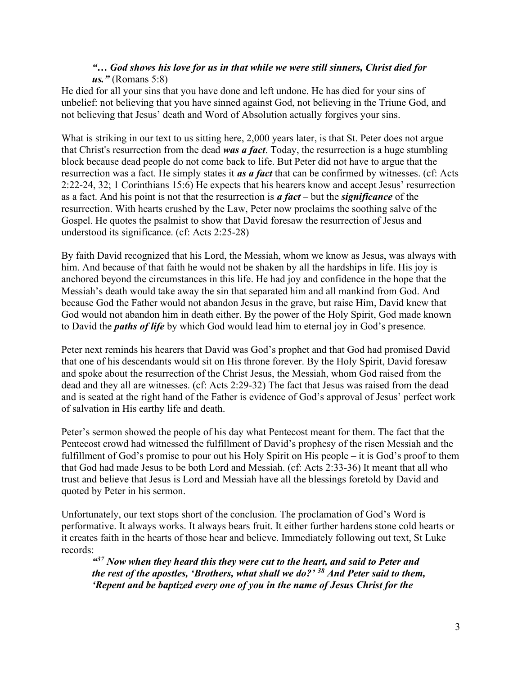## "… God shows his love for us in that while we were still sinners, Christ died for  $\mu$ s." (Romans 5:8)

He died for all your sins that you have done and left undone. He has died for your sins of unbelief: not believing that you have sinned against God, not believing in the Triune God, and not believing that Jesus' death and Word of Absolution actually forgives your sins.

What is striking in our text to us sitting here, 2,000 years later, is that St. Peter does not argue that Christ's resurrection from the dead was a fact. Today, the resurrection is a huge stumbling block because dead people do not come back to life. But Peter did not have to argue that the resurrection was a fact. He simply states it *as a fact* that can be confirmed by witnesses. (cf: Acts 2:22-24, 32; 1 Corinthians 15:6) He expects that his hearers know and accept Jesus' resurrection as a fact. And his point is not that the resurrection is  $a$  fact – but the significance of the resurrection. With hearts crushed by the Law, Peter now proclaims the soothing salve of the Gospel. He quotes the psalmist to show that David foresaw the resurrection of Jesus and understood its significance. (cf: Acts 2:25-28)

By faith David recognized that his Lord, the Messiah, whom we know as Jesus, was always with him. And because of that faith he would not be shaken by all the hardships in life. His joy is anchored beyond the circumstances in this life. He had joy and confidence in the hope that the Messiah's death would take away the sin that separated him and all mankind from God. And because God the Father would not abandon Jesus in the grave, but raise Him, David knew that God would not abandon him in death either. By the power of the Holy Spirit, God made known to David the *paths of life* by which God would lead him to eternal joy in God's presence.

Peter next reminds his hearers that David was God's prophet and that God had promised David that one of his descendants would sit on His throne forever. By the Holy Spirit, David foresaw and spoke about the resurrection of the Christ Jesus, the Messiah, whom God raised from the dead and they all are witnesses. (cf: Acts 2:29-32) The fact that Jesus was raised from the dead and is seated at the right hand of the Father is evidence of God's approval of Jesus' perfect work of salvation in His earthy life and death.

Peter's sermon showed the people of his day what Pentecost meant for them. The fact that the Pentecost crowd had witnessed the fulfillment of David's prophesy of the risen Messiah and the fulfillment of God's promise to pour out his Holy Spirit on His people – it is God's proof to them that God had made Jesus to be both Lord and Messiah. (cf: Acts 2:33-36) It meant that all who trust and believe that Jesus is Lord and Messiah have all the blessings foretold by David and quoted by Peter in his sermon.

Unfortunately, our text stops short of the conclusion. The proclamation of God's Word is performative. It always works. It always bears fruit. It either further hardens stone cold hearts or it creates faith in the hearts of those hear and believe. Immediately following out text, St Luke records:

 $437$  Now when they heard this they were cut to the heart, and said to Peter and the rest of the apostles, 'Brothers, what shall we do?'  $38$  And Peter said to them, 'Repent and be baptized every one of you in the name of Jesus Christ for the